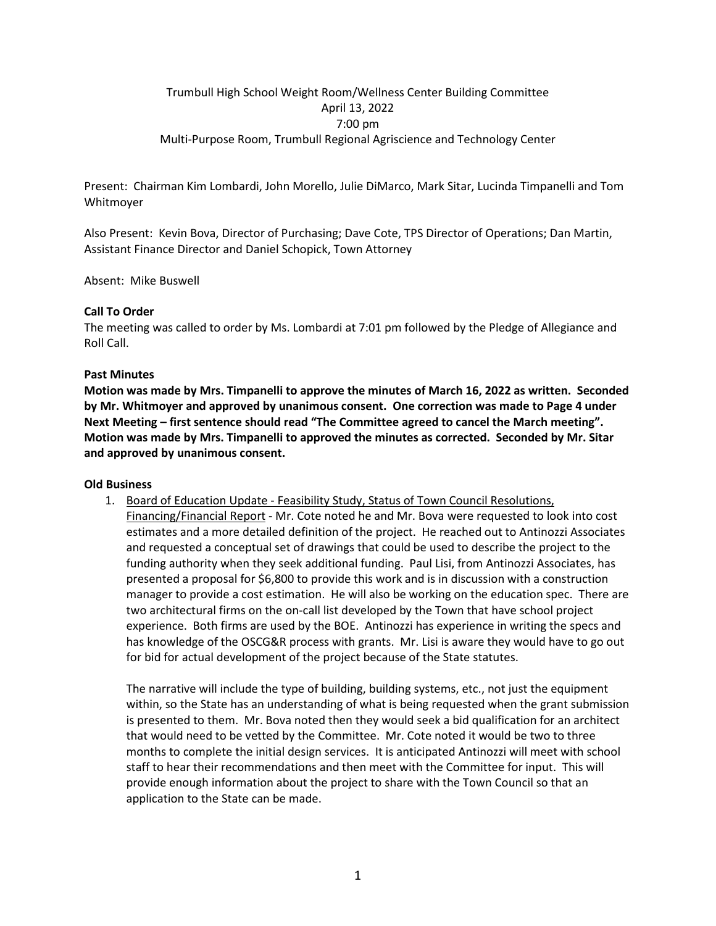# Trumbull High School Weight Room/Wellness Center Building Committee April 13, 2022 7:00 pm Multi-Purpose Room, Trumbull Regional Agriscience and Technology Center

Present: Chairman Kim Lombardi, John Morello, Julie DiMarco, Mark Sitar, Lucinda Timpanelli and Tom Whitmoyer

Also Present: Kevin Bova, Director of Purchasing; Dave Cote, TPS Director of Operations; Dan Martin, Assistant Finance Director and Daniel Schopick, Town Attorney

Absent: Mike Buswell

### **Call To Order**

The meeting was called to order by Ms. Lombardi at 7:01 pm followed by the Pledge of Allegiance and Roll Call.

### **Past Minutes**

**Motion was made by Mrs. Timpanelli to approve the minutes of March 16, 2022 as written. Seconded by Mr. Whitmoyer and approved by unanimous consent. One correction was made to Page 4 under Next Meeting – first sentence should read "The Committee agreed to cancel the March meeting". Motion was made by Mrs. Timpanelli to approved the minutes as corrected. Seconded by Mr. Sitar and approved by unanimous consent.**

#### **Old Business**

1. Board of Education Update - Feasibility Study, Status of Town Council Resolutions, Financing/Financial Report - Mr. Cote noted he and Mr. Bova were requested to look into cost estimates and a more detailed definition of the project. He reached out to Antinozzi Associates and requested a conceptual set of drawings that could be used to describe the project to the funding authority when they seek additional funding. Paul Lisi, from Antinozzi Associates, has presented a proposal for \$6,800 to provide this work and is in discussion with a construction manager to provide a cost estimation. He will also be working on the education spec. There are two architectural firms on the on-call list developed by the Town that have school project experience. Both firms are used by the BOE. Antinozzi has experience in writing the specs and has knowledge of the OSCG&R process with grants. Mr. Lisi is aware they would have to go out for bid for actual development of the project because of the State statutes.

The narrative will include the type of building, building systems, etc., not just the equipment within, so the State has an understanding of what is being requested when the grant submission is presented to them. Mr. Bova noted then they would seek a bid qualification for an architect that would need to be vetted by the Committee. Mr. Cote noted it would be two to three months to complete the initial design services. It is anticipated Antinozzi will meet with school staff to hear their recommendations and then meet with the Committee for input. This will provide enough information about the project to share with the Town Council so that an application to the State can be made.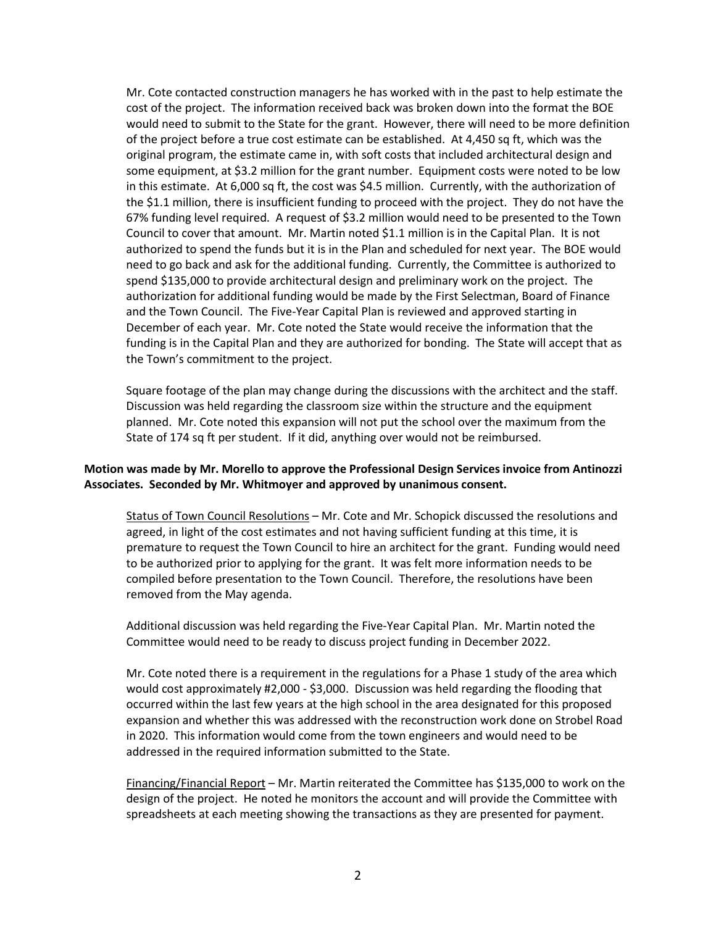Mr. Cote contacted construction managers he has worked with in the past to help estimate the cost of the project. The information received back was broken down into the format the BOE would need to submit to the State for the grant. However, there will need to be more definition of the project before a true cost estimate can be established. At 4,450 sq ft, which was the original program, the estimate came in, with soft costs that included architectural design and some equipment, at \$3.2 million for the grant number. Equipment costs were noted to be low in this estimate. At 6,000 sq ft, the cost was \$4.5 million. Currently, with the authorization of the \$1.1 million, there is insufficient funding to proceed with the project. They do not have the 67% funding level required. A request of \$3.2 million would need to be presented to the Town Council to cover that amount. Mr. Martin noted \$1.1 million is in the Capital Plan. It is not authorized to spend the funds but it is in the Plan and scheduled for next year. The BOE would need to go back and ask for the additional funding. Currently, the Committee is authorized to spend \$135,000 to provide architectural design and preliminary work on the project. The authorization for additional funding would be made by the First Selectman, Board of Finance and the Town Council. The Five-Year Capital Plan is reviewed and approved starting in December of each year. Mr. Cote noted the State would receive the information that the funding is in the Capital Plan and they are authorized for bonding. The State will accept that as the Town's commitment to the project.

Square footage of the plan may change during the discussions with the architect and the staff. Discussion was held regarding the classroom size within the structure and the equipment planned. Mr. Cote noted this expansion will not put the school over the maximum from the State of 174 sq ft per student. If it did, anything over would not be reimbursed.

## **Motion was made by Mr. Morello to approve the Professional Design Services invoice from Antinozzi Associates. Seconded by Mr. Whitmoyer and approved by unanimous consent.**

Status of Town Council Resolutions – Mr. Cote and Mr. Schopick discussed the resolutions and agreed, in light of the cost estimates and not having sufficient funding at this time, it is premature to request the Town Council to hire an architect for the grant. Funding would need to be authorized prior to applying for the grant. It was felt more information needs to be compiled before presentation to the Town Council. Therefore, the resolutions have been removed from the May agenda.

Additional discussion was held regarding the Five-Year Capital Plan. Mr. Martin noted the Committee would need to be ready to discuss project funding in December 2022.

Mr. Cote noted there is a requirement in the regulations for a Phase 1 study of the area which would cost approximately #2,000 - \$3,000. Discussion was held regarding the flooding that occurred within the last few years at the high school in the area designated for this proposed expansion and whether this was addressed with the reconstruction work done on Strobel Road in 2020. This information would come from the town engineers and would need to be addressed in the required information submitted to the State.

Financing/Financial Report – Mr. Martin reiterated the Committee has \$135,000 to work on the design of the project. He noted he monitors the account and will provide the Committee with spreadsheets at each meeting showing the transactions as they are presented for payment.